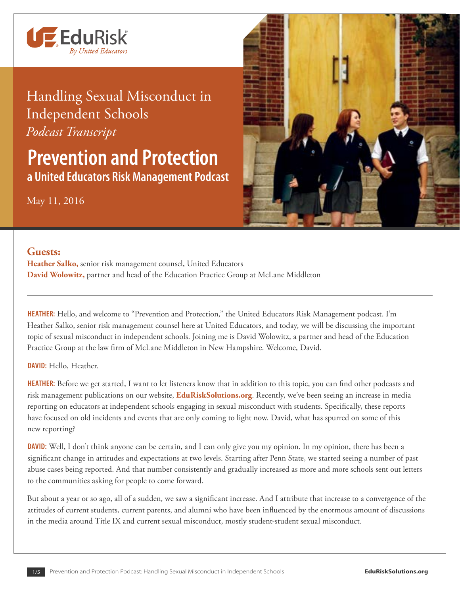

## Handling Sexual Misconduct in Independent Schools *Podcast Transcript*

**Prevention and Protection a United Educators Risk Management Podcast**

## May 11, 2016



## **Guests:**

**Heather Salko,** senior risk management counsel, United Educators **David Wolowitz,** partner and head of the Education Practice Group at McLane Middleton

**HEATHER:** Hello, and welcome to "Prevention and Protection," the United Educators Risk Management podcast. I'm Heather Salko, senior risk management counsel here at United Educators, and today, we will be discussing the important topic of sexual misconduct in independent schools. Joining me is David Wolowitz, a partner and head of the Education Practice Group at the law firm of McLane Middleton in New Hampshire. Welcome, David.

**DAVID:** Hello, Heather.

**HEATHER:** Before we get started, I want to let listeners know that in addition to this topic, you can find other podcasts and risk management publications on our website, **[EduRiskSolutions.org](http://www.edurisksolutions.org)**. Recently, we've been seeing an increase in media reporting on educators at independent schools engaging in sexual misconduct with students. Specifically, these reports have focused on old incidents and events that are only coming to light now. David, what has spurred on some of this new reporting?

**DAVID:** Well, I don't think anyone can be certain, and I can only give you my opinion. In my opinion, there has been a significant change in attitudes and expectations at two levels. Starting after Penn State, we started seeing a number of past abuse cases being reported. And that number consistently and gradually increased as more and more schools sent out letters to the communities asking for people to come forward.

But about a year or so ago, all of a sudden, we saw a significant increase. And I attribute that increase to a convergence of the attitudes of current students, current parents, and alumni who have been influenced by the enormous amount of discussions in the media around Title IX and current sexual misconduct, mostly student-student sexual misconduct.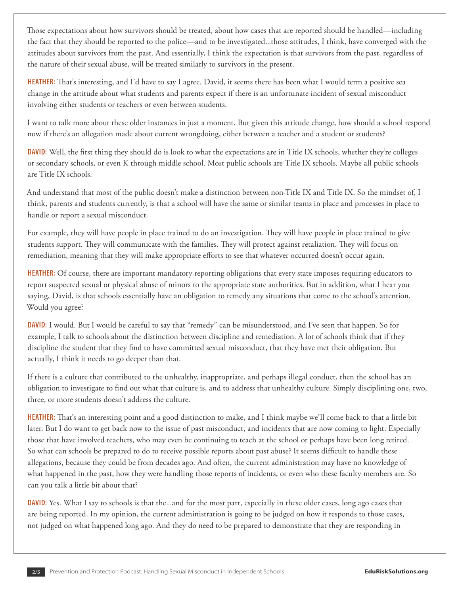Those expectations about how survivors should be treated, about how cases that are reported should be handled—including the fact that they should be reported to the police—and to be investigated...those attitudes, I think, have converged with the attitudes about survivors from the past. And essentially, I think the expectation is that survivors from the past, regardless of the nature of their sexual abuse, will be treated similarly to survivors in the present.

**HEATHER:** That's interesting, and I'd have to say I agree. David, it seems there has been what I would term a positive sea change in the attitude about what students and parents expect if there is an unfortunate incident of sexual misconduct involving either students or teachers or even between students.

I want to talk more about these older instances in just a moment. But given this attitude change, how should a school respond now if there's an allegation made about current wrongdoing, either between a teacher and a student or students?

**DAVID:** Well, the first thing they should do is look to what the expectations are in Title IX schools, whether they're colleges or secondary schools, or even K through middle school. Most public schools are Title IX schools. Maybe all public schools are Title IX schools.

And understand that most of the public doesn't make a distinction between non-Title IX and Title IX. So the mindset of, I think, parents and students currently, is that a school will have the same or similar teams in place and processes in place to handle or report a sexual misconduct.

For example, they will have people in place trained to do an investigation. They will have people in place trained to give students support. They will communicate with the families. They will protect against retaliation. They will focus on remediation, meaning that they will make appropriate efforts to see that whatever occurred doesn't occur again.

**HEATHER:** Of course, there are important mandatory reporting obligations that every state imposes requiring educators to report suspected sexual or physical abuse of minors to the appropriate state authorities. But in addition, what I hear you saying, David, is that schools essentially have an obligation to remedy any situations that come to the school's attention. Would you agree?

**DAVID:** I would. But I would be careful to say that "remedy" can be misunderstood, and I've seen that happen. So for example, I talk to schools about the distinction between discipline and remediation. A lot of schools think that if they discipline the student that they find to have committed sexual misconduct, that they have met their obligation. But actually, I think it needs to go deeper than that.

If there is a culture that contributed to the unhealthy, inappropriate, and perhaps illegal conduct, then the school has an obligation to investigate to find out what that culture is, and to address that unhealthy culture. Simply disciplining one, two, three, or more students doesn't address the culture.

**HEATHER:** That's an interesting point and a good distinction to make, and I think maybe we'll come back to that a little bit later. But I do want to get back now to the issue of past misconduct, and incidents that are now coming to light. Especially those that have involved teachers, who may even be continuing to teach at the school or perhaps have been long retired. So what can schools be prepared to do to receive possible reports about past abuse? It seems difficult to handle these allegations, because they could be from decades ago. And often, the current administration may have no knowledge of what happened in the past, how they were handling those reports of incidents, or even who these faculty members are. So can you talk a little bit about that?

**DAVID:** Yes. What I say to schools is that the...and for the most part, especially in these older cases, long ago cases that are being reported. In my opinion, the current administration is going to be judged on how it responds to those cases, not judged on what happened long ago. And they do need to be prepared to demonstrate that they are responding in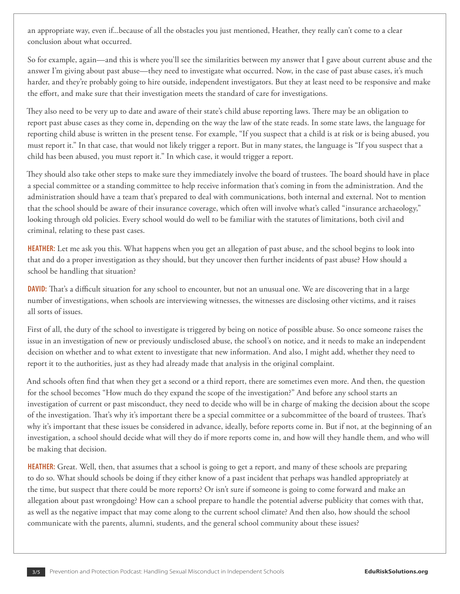an appropriate way, even if...because of all the obstacles you just mentioned, Heather, they really can't come to a clear conclusion about what occurred.

So for example, again—and this is where you'll see the similarities between my answer that I gave about current abuse and the answer I'm giving about past abuse—they need to investigate what occurred. Now, in the case of past abuse cases, it's much harder, and they're probably going to hire outside, independent investigators. But they at least need to be responsive and make the effort, and make sure that their investigation meets the standard of care for investigations.

They also need to be very up to date and aware of their state's child abuse reporting laws. There may be an obligation to report past abuse cases as they come in, depending on the way the law of the state reads. In some state laws, the language for reporting child abuse is written in the present tense. For example, "If you suspect that a child is at risk or is being abused, you must report it." In that case, that would not likely trigger a report. But in many states, the language is "If you suspect that a child has been abused, you must report it." In which case, it would trigger a report.

They should also take other steps to make sure they immediately involve the board of trustees. The board should have in place a special committee or a standing committee to help receive information that's coming in from the administration. And the administration should have a team that's prepared to deal with communications, both internal and external. Not to mention that the school should be aware of their insurance coverage, which often will involve what's called "insurance archaeology," looking through old policies. Every school would do well to be familiar with the statutes of limitations, both civil and criminal, relating to these past cases.

**HEATHER:** Let me ask you this. What happens when you get an allegation of past abuse, and the school begins to look into that and do a proper investigation as they should, but they uncover then further incidents of past abuse? How should a school be handling that situation?

**DAVID:** That's a difficult situation for any school to encounter, but not an unusual one. We are discovering that in a large number of investigations, when schools are interviewing witnesses, the witnesses are disclosing other victims, and it raises all sorts of issues.

First of all, the duty of the school to investigate is triggered by being on notice of possible abuse. So once someone raises the issue in an investigation of new or previously undisclosed abuse, the school's on notice, and it needs to make an independent decision on whether and to what extent to investigate that new information. And also, I might add, whether they need to report it to the authorities, just as they had already made that analysis in the original complaint.

And schools often find that when they get a second or a third report, there are sometimes even more. And then, the question for the school becomes "How much do they expand the scope of the investigation?" And before any school starts an investigation of current or past misconduct, they need to decide who will be in charge of making the decision about the scope of the investigation. That's why it's important there be a special committee or a subcommittee of the board of trustees. That's why it's important that these issues be considered in advance, ideally, before reports come in. But if not, at the beginning of an investigation, a school should decide what will they do if more reports come in, and how will they handle them, and who will be making that decision.

**HEATHER:** Great. Well, then, that assumes that a school is going to get a report, and many of these schools are preparing to do so. What should schools be doing if they either know of a past incident that perhaps was handled appropriately at the time, but suspect that there could be more reports? Or isn't sure if someone is going to come forward and make an allegation about past wrongdoing? How can a school prepare to handle the potential adverse publicity that comes with that, as well as the negative impact that may come along to the current school climate? And then also, how should the school communicate with the parents, alumni, students, and the general school community about these issues?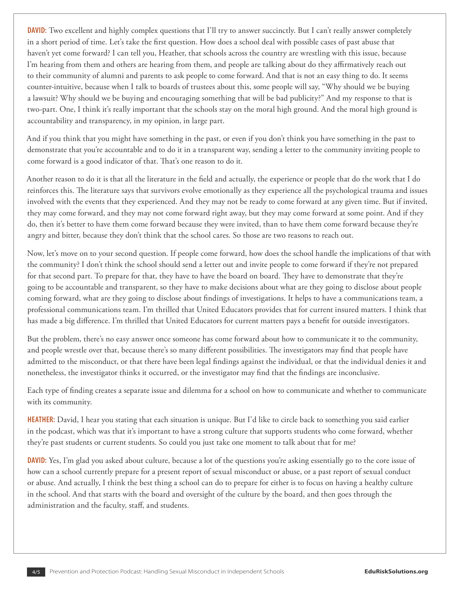**DAVID:** Two excellent and highly complex questions that I'll try to answer succinctly. But I can't really answer completely in a short period of time. Let's take the first question. How does a school deal with possible cases of past abuse that haven't yet come forward? I can tell you, Heather, that schools across the country are wrestling with this issue, because I'm hearing from them and others are hearing from them, and people are talking about do they affirmatively reach out to their community of alumni and parents to ask people to come forward. And that is not an easy thing to do. It seems counter-intuitive, because when I talk to boards of trustees about this, some people will say, "Why should we be buying a lawsuit? Why should we be buying and encouraging something that will be bad publicity?" And my response to that is two-part. One, I think it's really important that the schools stay on the moral high ground. And the moral high ground is accountability and transparency, in my opinion, in large part.

And if you think that you might have something in the past, or even if you don't think you have something in the past to demonstrate that you're accountable and to do it in a transparent way, sending a letter to the community inviting people to come forward is a good indicator of that. That's one reason to do it.

Another reason to do it is that all the literature in the field and actually, the experience or people that do the work that I do reinforces this. The literature says that survivors evolve emotionally as they experience all the psychological trauma and issues involved with the events that they experienced. And they may not be ready to come forward at any given time. But if invited, they may come forward, and they may not come forward right away, but they may come forward at some point. And if they do, then it's better to have them come forward because they were invited, than to have them come forward because they're angry and bitter, because they don't think that the school cares. So those are two reasons to reach out.

Now, let's move on to your second question. If people come forward, how does the school handle the implications of that with the community? I don't think the school should send a letter out and invite people to come forward if they're not prepared for that second part. To prepare for that, they have to have the board on board. They have to demonstrate that they're going to be accountable and transparent, so they have to make decisions about what are they going to disclose about people coming forward, what are they going to disclose about findings of investigations. It helps to have a communications team, a professional communications team. I'm thrilled that United Educators provides that for current insured matters. I think that has made a big difference. I'm thrilled that United Educators for current matters pays a benefit for outside investigators.

But the problem, there's no easy answer once someone has come forward about how to communicate it to the community, and people wrestle over that, because there's so many different possibilities. The investigators may find that people have admitted to the misconduct, or that there have been legal findings against the individual, or that the individual denies it and nonetheless, the investigator thinks it occurred, or the investigator may find that the findings are inconclusive.

Each type of finding creates a separate issue and dilemma for a school on how to communicate and whether to communicate with its community.

**HEATHER:** David, I hear you stating that each situation is unique. But I'd like to circle back to something you said earlier in the podcast, which was that it's important to have a strong culture that supports students who come forward, whether they're past students or current students. So could you just take one moment to talk about that for me?

**DAVID:** Yes, I'm glad you asked about culture, because a lot of the questions you're asking essentially go to the core issue of how can a school currently prepare for a present report of sexual misconduct or abuse, or a past report of sexual conduct or abuse. And actually, I think the best thing a school can do to prepare for either is to focus on having a healthy culture in the school. And that starts with the board and oversight of the culture by the board, and then goes through the administration and the faculty, staff, and students.